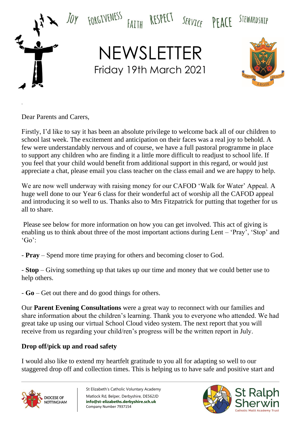

Dear Parents and Carers,

.

Firstly, I'd like to say it has been an absolute privilege to welcome back all of our children to school last week. The excitement and anticipation on their faces was a real joy to behold. A few were understandably nervous and of course, we have a full pastoral programme in place to support any children who are finding it a little more difficult to readjust to school life. If you feel that your child would benefit from additional support in this regard, or would just appreciate a chat, please email you class teacher on the class email and we are happy to help.

We are now well underway with raising money for our CAFOD 'Walk for Water' Appeal. A huge well done to our Year 6 class for their wonderful act of worship all the CAFOD appeal and introducing it so well to us. Thanks also to Mrs Fitzpatrick for putting that together for us all to share.

Please see below for more information on how you can get involved. This act of giving is enabling us to think about three of the most important actions during Lent – 'Pray', 'Stop' and  $'Go$ :

- **Pray** – Spend more time praying for others and becoming closer to God.

- **Stop** – Giving something up that takes up our time and money that we could better use to help others.

- **Go** – Get out there and do good things for others.

Our **Parent Evening Consultations** were a great way to reconnect with our families and share information about the children's learning. Thank you to everyone who attended. We had great take up using our virtual School Cloud video system. The next report that you will receive from us regarding your child/ren's progress will be the written report in July.

# **Drop off/pick up and road safety**

I would also like to extend my heartfelt gratitude to you all for adapting so well to our staggered drop off and collection times. This is helping us to have safe and positive start and



St Elizabeth's Catholic Voluntary Academy Matlock Rd, Belper, Derbyshire, DE562JD **info@st-elizabeths.derbyshire.sch.uk** Company Number 7937154

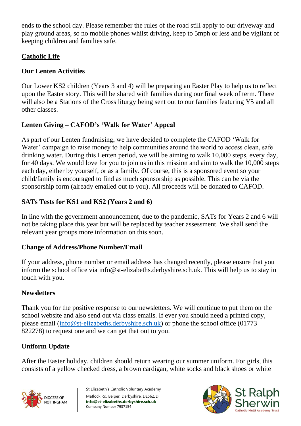ends to the school day. Please remember the rules of the road still apply to our driveway and play ground areas, so no mobile phones whilst driving, keep to 5mph or less and be vigilant of keeping children and families safe.

## **Catholic Life**

# **Our Lenten Activities**

Our Lower KS2 children (Years 3 and 4) will be preparing an Easter Play to help us to reflect upon the Easter story. This will be shared with families during our final week of term. There will also be a Stations of the Cross liturgy being sent out to our families featuring Y5 and all other classes.

## **Lenten Giving – CAFOD's 'Walk for Water' Appeal**

As part of our Lenten fundraising, we have decided to complete the CAFOD 'Walk for Water' campaign to raise money to help communities around the world to access clean, safe drinking water. During this Lenten period, we will be aiming to walk 10,000 steps, every day, for 40 days. We would love for you to join us in this mission and aim to walk the 10,000 steps each day, either by yourself, or as a family. Of course, this is a sponsored event so your child/family is encouraged to find as much sponsorship as possible. This can be via the sponsorship form (already emailed out to you). All proceeds will be donated to CAFOD.

## **SATs Tests for KS1 and KS2 (Years 2 and 6)**

In line with the government announcement, due to the pandemic, SATs for Years 2 and 6 will not be taking place this year but will be replaced by teacher assessment. We shall send the relevant year groups more information on this soon.

#### **Change of Address/Phone Number/Email**

If your address, phone number or email address has changed recently, please ensure that you inform the school office via info@st-elizabeths.derbyshire.sch.uk. This will help us to stay in touch with you.

#### **Newsletters**

Thank you for the positive response to our newsletters. We will continue to put them on the school website and also send out via class emails. If ever you should need a printed copy, please email [\(info@st-elizabeths.derbyshire.sch.uk\)](mailto:info@st-elizabeths.derbyshire.sch.uk) or phone the school office (01773 822278) to request one and we can get that out to you.

## **Uniform Update**

After the Easter holiday, children should return wearing our summer uniform. For girls, this consists of a yellow checked dress, a brown cardigan, white socks and black shoes or white



St Elizabeth's Catholic Voluntary Academy Matlock Rd, Belper, Derbyshire, DE562JD **info@st-elizabeths.derbyshire.sch.uk** Company Number 7937154

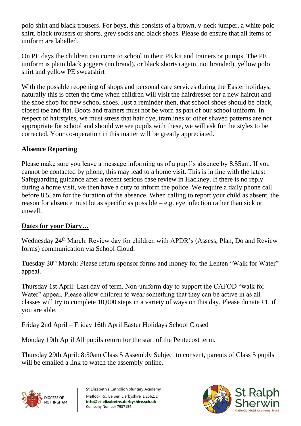polo shirt and black trousers. For boys, this consists of a brown, v-neck jumper, a white polo shirt, black trousers or shorts, grey socks and black shoes. Please do ensure that all items of uniform are labelled.

On PE days the children can come to school in their PE kit and trainers or pumps. The PE uniform is plain black joggers (no brand), or black shorts (again, not branded), yellow polo shirt and yellow PE sweatshirt

With the possible reopening of shops and personal care services during the Easter holidays, naturally this is often the time when children will visit the hairdresser for a new haircut and the shoe shop for new school shoes. Just a reminder then, that school shoes should be black, closed toe and flat. Boots and trainers must not be worn as part of our school uniform. In respect of hairstyles, we must stress that hair dye, tramlines or other shaved patterns are not appropriate for school and should we see pupils with these, we will ask for the styles to be corrected. Your co-operation in this matter will be greatly appreciated.

## **Absence Reporting**

Please make sure you leave a message informing us of a pupil's absence by 8.55am. If you cannot be contacted by phone, this may lead to a home visit. This is in line with the latest Safeguarding guidance after a recent serious case review in Hackney. If there is no reply during a home visit, we then have a duty to inform the police. We require a daily phone call before 8.55am for the duration of the absence. When calling to report your child as absent, the reason for absence must be as specific as possible – e.g. eye infection rather than sick or unwell.

# **Dates for your Diary…**

Wednesday 24<sup>th</sup> March: Review day for children with APDR's (Assess, Plan, Do and Review forms) communication via School Cloud.

Tuesday 30<sup>th</sup> March: Please return sponsor forms and money for the Lenten "Walk for Water" appeal.

Thursday 1st April: Last day of term. Non-uniform day to support the CAFOD "walk for Water" appeal. Please allow children to wear something that they can be active in as all classes will try to complete 10,000 steps in a variety of ways on this day. Please donate £1, if you are able.

Friday 2nd April – Friday 16th April Easter Holidays School Closed

Monday 19th April All pupils return for the start of the Pentecost term.

Thursday 29th April: 8:50am Class 5 Assembly Subject to consent, parents of Class 5 pupils will be emailed a link to watch the assembly online.



St Elizabeth's Catholic Voluntary Academy Matlock Rd, Belper, Derbyshire, DE562JD **info@st-elizabeths.derbyshire.sch.uk** Company Number 7937154